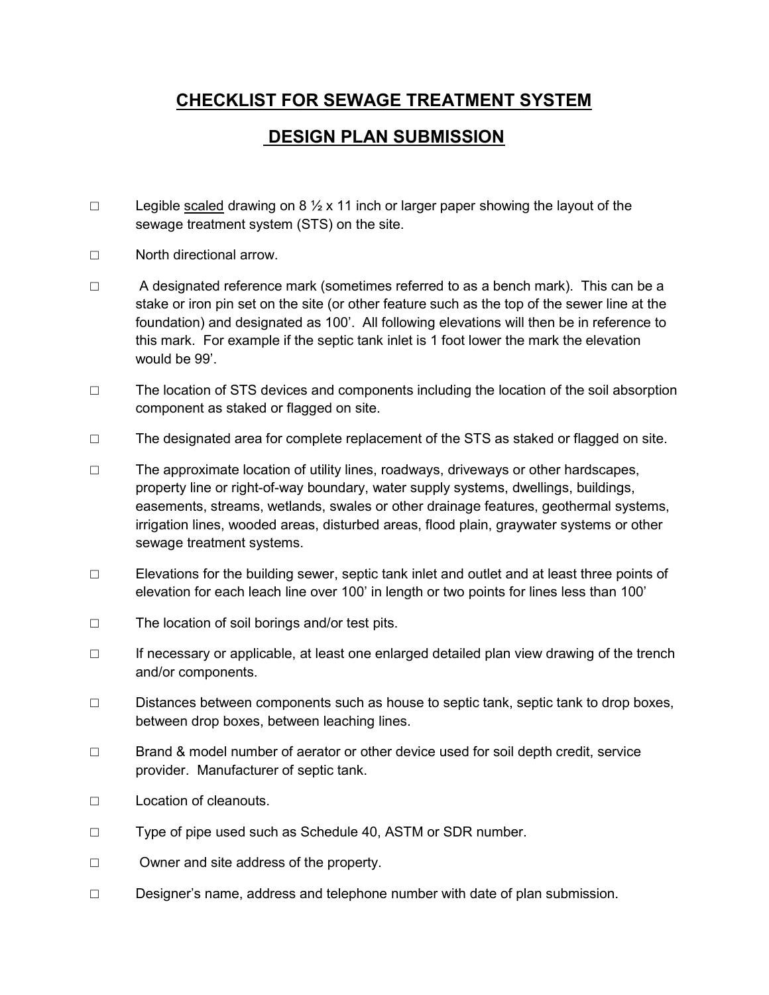## CHECKLIST FOR SEWAGE TREATMENT SYSTEM

## DESIGN PLAN SUBMISSION

- □ Legible scaled drawing on 8  $\frac{1}{2}$  x 11 inch or larger paper showing the layout of the sewage treatment system (STS) on the site.
- □ North directional arrow.
- □ A designated reference mark (sometimes referred to as a bench mark). This can be a stake or iron pin set on the site (or other feature such as the top of the sewer line at the foundation) and designated as 100'. All following elevations will then be in reference to this mark. For example if the septic tank inlet is 1 foot lower the mark the elevation would be 99'.
- □ The location of STS devices and components including the location of the soil absorption component as staked or flagged on site.
- $\Box$  The designated area for complete replacement of the STS as staked or flagged on site.
- □ The approximate location of utility lines, roadways, driveways or other hardscapes, property line or right-of-way boundary, water supply systems, dwellings, buildings, easements, streams, wetlands, swales or other drainage features, geothermal systems, irrigation lines, wooded areas, disturbed areas, flood plain, graywater systems or other sewage treatment systems.
- □ Elevations for the building sewer, septic tank inlet and outlet and at least three points of elevation for each leach line over 100' in length or two points for lines less than 100'
- □ The location of soil borings and/or test pits.
- □ If necessary or applicable, at least one enlarged detailed plan view drawing of the trench and/or components.
- $\Box$  Distances between components such as house to septic tank, septic tank to drop boxes, between drop boxes, between leaching lines.
- □ Brand & model number of aerator or other device used for soil depth credit, service provider. Manufacturer of septic tank.
- □ Location of cleanouts.
- □ Type of pipe used such as Schedule 40, ASTM or SDR number.
- □ Owner and site address of the property.
- $\Box$  Designer's name, address and telephone number with date of plan submission.